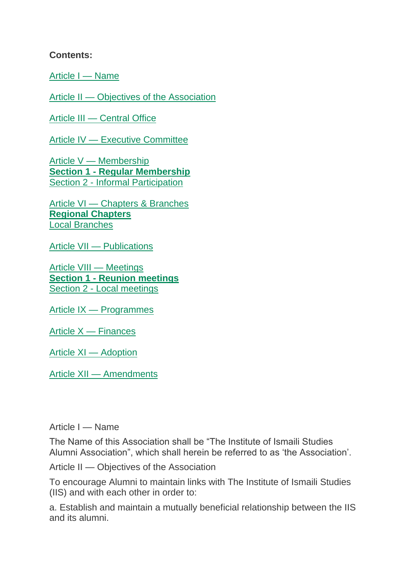# **Contents:**

[Article I —](https://www.iis.ac.uk/graduate-studies/alumni/association/bylaws#Article%201) Name

Article II — [Objectives of the Association](https://www.iis.ac.uk/graduate-studies/alumni/association/bylaws#Article%202)

Article III — [Central Office](https://www.iis.ac.uk/graduate-studies/alumni/association/bylaws#Article%203)

Article IV — [Executive Committee](https://www.iis.ac.uk/graduate-studies/alumni/association/bylaws#Article%204)

Article V — [Membership](https://www.iis.ac.uk/graduate-studies/alumni/association/bylaws#Article%205) **Section 1 - [Regular Membership](https://www.iis.ac.uk/graduate-studies/alumni/association/bylaws#Section%201)** Section 2 - [Informal Participation](https://www.iis.ac.uk/graduate-studies/alumni/association/bylaws#Section%202)

Article VI - [Chapters & Branches](https://www.iis.ac.uk/graduate-studies/alumni/association/bylaws#Article%206) **[Regional Chapters](https://www.iis.ac.uk/graduate-studies/alumni/association/bylaws#Regional%20Chapters)** [Local Branches](https://www.iis.ac.uk/graduate-studies/alumni/association/bylaws#Local%20Branches)

[Article VII —](https://www.iis.ac.uk/graduate-studies/alumni/association/bylaws#Article%207) Publications

[Article VIII —](https://www.iis.ac.uk/graduate-studies/alumni/association/bylaws#Article%208) Meetings **Section 1 - [Reunion meetings](https://www.iis.ac.uk/graduate-studies/alumni/association/bylaws#Section%20I)** Section 2 - [Local meetings](https://www.iis.ac.uk/graduate-studies/alumni/association/bylaws#Section%20II)

Article IX — [Programmes](https://www.iis.ac.uk/graduate-studies/alumni/association/bylaws#Article%209)

[Article X —](https://www.iis.ac.uk/graduate-studies/alumni/association/bylaws#Article%2010) Finances

[Article XI —](https://www.iis.ac.uk/graduate-studies/alumni/association/bylaws#Article%2011) Adoption

Article XII — [Amendments](https://www.iis.ac.uk/graduate-studies/alumni/association/bylaws#article%2012)

Article I — Name

The Name of this Association shall be "The Institute of Ismaili Studies Alumni Association", which shall herein be referred to as 'the Association'.

Article II — Objectives of the Association

To encourage Alumni to maintain links with The Institute of Ismaili Studies (IIS) and with each other in order to:

a. Establish and maintain a mutually beneficial relationship between the IIS and its alumni.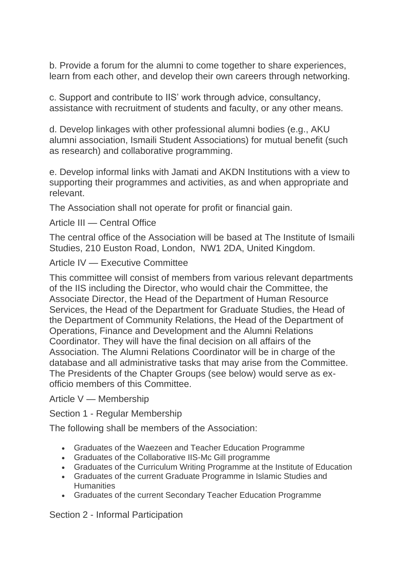b. Provide a forum for the alumni to come together to share experiences, learn from each other, and develop their own careers through networking.

c. Support and contribute to IIS' work through advice, consultancy, assistance with recruitment of students and faculty, or any other means.

d. Develop linkages with other professional alumni bodies (e.g., AKU alumni association, Ismaili Student Associations) for mutual benefit (such as research) and collaborative programming.

e. Develop informal links with Jamati and AKDN Institutions with a view to supporting their programmes and activities, as and when appropriate and relevant.

The Association shall not operate for profit or financial gain.

Article III — Central Office

The central office of the Association will be based at The Institute of Ismaili Studies, 210 Euston Road, London, NW1 2DA, United Kingdom.

Article IV — Executive Committee

This committee will consist of members from various relevant departments of the IIS including the Director, who would chair the Committee, the Associate Director, the Head of the Department of Human Resource Services, the Head of the Department for Graduate Studies, the Head of the Department of Community Relations, the Head of the Department of Operations, Finance and Development and the Alumni Relations Coordinator. They will have the final decision on all affairs of the Association. The Alumni Relations Coordinator will be in charge of the database and all administrative tasks that may arise from the Committee. The Presidents of the Chapter Groups (see below) would serve as exofficio members of this Committee.

Article V — Membership

Section 1 - Regular Membership

The following shall be members of the Association:

- Graduates of the Waezeen and Teacher Education Programme
- Graduates of the Collaborative IIS-Mc Gill programme
- Graduates of the Curriculum Writing Programme at the Institute of Education
- Graduates of the current Graduate Programme in Islamic Studies and **Humanities**
- Graduates of the current Secondary Teacher Education Programme

Section 2 - Informal Participation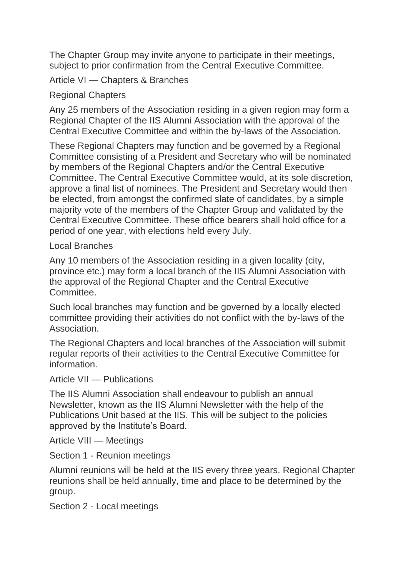The Chapter Group may invite anyone to participate in their meetings, subject to prior confirmation from the Central Executive Committee.

## Article VI — Chapters & Branches

## Regional Chapters

Any 25 members of the Association residing in a given region may form a Regional Chapter of the IIS Alumni Association with the approval of the Central Executive Committee and within the by-laws of the Association.

These Regional Chapters may function and be governed by a Regional Committee consisting of a President and Secretary who will be nominated by members of the Regional Chapters and/or the Central Executive Committee. The Central Executive Committee would, at its sole discretion, approve a final list of nominees. The President and Secretary would then be elected, from amongst the confirmed slate of candidates, by a simple majority vote of the members of the Chapter Group and validated by the Central Executive Committee. These office bearers shall hold office for a period of one year, with elections held every July.

## Local Branches

Any 10 members of the Association residing in a given locality (city, province etc.) may form a local branch of the IIS Alumni Association with the approval of the Regional Chapter and the Central Executive Committee.

Such local branches may function and be governed by a locally elected committee providing their activities do not conflict with the by-laws of the **Association** 

The Regional Chapters and local branches of the Association will submit regular reports of their activities to the Central Executive Committee for information.

Article VII — Publications

The IIS Alumni Association shall endeavour to publish an annual Newsletter, known as the IIS Alumni Newsletter with the help of the Publications Unit based at the IIS. This will be subject to the policies approved by the Institute's Board.

Article VIII — Meetings

Section 1 - Reunion meetings

Alumni reunions will be held at the IIS every three years. Regional Chapter reunions shall be held annually, time and place to be determined by the group.

Section 2 - Local meetings